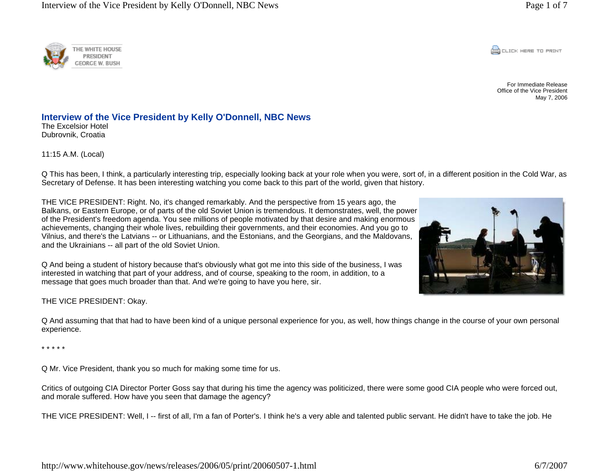**CONCRETE PRINT** 

For Immediate Release Office of the Vice President May 7, 2006

## **Interview of the Vice President by Kelly O'Donnell, NBC News**

The Excelsior Hotel Dubrovnik, Croatia

11:15 A.M. (Local)

Q This has been, I think, a particularly interesting trip, especially looking back at your role when you were, sort of, in a different position in the Cold War, as Secretary of Defense. It has been interesting watching you come back to this part of the world, given that history.

THE VICE PRESIDENT: Right. No, it's changed remarkably. And the perspective from 15 years ago, the Balkans, or Eastern Europe, or of parts of the old Soviet Union is tremendous. It demonstrates, well, the power of the President's freedom agenda. You see millions of people motivated by that desire and making enormous achievements, changing their whole lives, rebuilding their governments, and their economies. And you go to Vilnius, and there's the Latvians -- or Lithuanians, and the Estonians, and the Georgians, and the Maldovans, and the Ukrainians -- all part of the old Soviet Union.

Q And being a student of history because that's obviously what got me into this side of the business, I was interested in watching that part of your address, and of course, speaking to the room, in addition, to a message that goes much broader than that. And we're going to have you here, sir.

THE VICE PRESIDENT: Okay.

Q And assuming that that had to have been kind of a unique personal experience for you, as well, how things change in the course of your own personal experience.

\* \* \* \* \*

Q Mr. Vice President, thank you so much for making some time for us.

Critics of outgoing CIA Director Porter Goss say that during his time the agency was politicized, there were some good CIA people who were forced out, and morale suffered. How have you seen that damage the agency?

THE VICE PRESIDENT: Well, I -- first of all, I'm a fan of Porter's. I think he's a very able and talented public servant. He didn't have to take the job. He



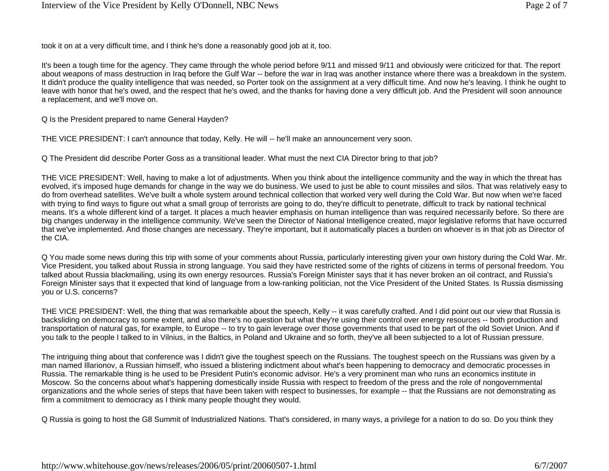took it on at a very difficult time, and I think he's done a reasonably good job at it, too.

It's been a tough time for the agency. They came through the whole period before 9/11 and missed 9/11 and obviously were criticized for that. The report about weapons of mass destruction in Iraq before the Gulf War -- before the war in Iraq was another instance where there was a breakdown in the system. It didn't produce the quality intelligence that was needed, so Porter took on the assignment at a very difficult time. And now he's leaving. I think he ought to leave with honor that he's owed, and the respect that he's owed, and the thanks for having done a very difficult job. And the President will soon announce a replacement, and we'll move on.

Q Is the President prepared to name General Hayden?

THE VICE PRESIDENT: I can't announce that today, Kelly. He will -- he'll make an announcement very soon.

Q The President did describe Porter Goss as a transitional leader. What must the next CIA Director bring to that job?

THE VICE PRESIDENT: Well, having to make a lot of adjustments. When you think about the intelligence community and the way in which the threat has evolved, it's imposed huge demands for change in the way we do business. We used to just be able to count missiles and silos. That was relatively easy to do from overhead satellites. We've built a whole system around technical collection that worked very well during the Cold War. But now when we're faced with trying to find ways to figure out what a small group of terrorists are going to do, they're difficult to penetrate, difficult to track by national technical means. It's a whole different kind of a target. It places a much heavier emphasis on human intelligence than was required necessarily before. So there are big changes underway in the intelligence community. We've seen the Director of National Intelligence created, major legislative reforms that have occurred that we've implemented. And those changes are necessary. They're important, but it automatically places a burden on whoever is in that job as Director of the CIA.

Q You made some news during this trip with some of your comments about Russia, particularly interesting given your own history during the Cold War. Mr. Vice President, you talked about Russia in strong language. You said they have restricted some of the rights of citizens in terms of personal freedom. You talked about Russia blackmailing, using its own energy resources. Russia's Foreign Minister says that it has never broken an oil contract, and Russia's Foreign Minister says that it expected that kind of language from a low-ranking politician, not the Vice President of the United States. Is Russia dismissing you or U.S. concerns?

THE VICE PRESIDENT: Well, the thing that was remarkable about the speech, Kelly -- it was carefully crafted. And I did point out our view that Russia is backsliding on democracy to some extent, and also there's no question but what they're using their control over energy resources -- both production and transportation of natural gas, for example, to Europe -- to try to gain leverage over those governments that used to be part of the old Soviet Union. And if you talk to the people I talked to in Vilnius, in the Baltics, in Poland and Ukraine and so forth, they've all been subjected to a lot of Russian pressure.

The intriguing thing about that conference was I didn't give the toughest speech on the Russians. The toughest speech on the Russians was given by a man named Illarionov, a Russian himself, who issued a blistering indictment about what's been happening to democracy and democratic processes in Russia. The remarkable thing is he used to be President Putin's economic advisor. He's a very prominent man who runs an economics institute in Moscow. So the concerns about what's happening domestically inside Russia with respect to freedom of the press and the role of nongovernmental organizations and the whole series of steps that have been taken with respect to businesses, for example -- that the Russians are not demonstrating as firm a commitment to democracy as I think many people thought they would.

Q Russia is going to host the G8 Summit of Industrialized Nations. That's considered, in many ways, a privilege for a nation to do so. Do you think they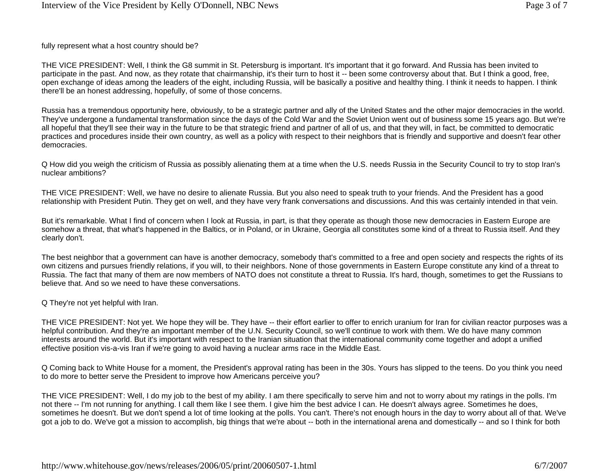fully represent what a host country should be?

THE VICE PRESIDENT: Well, I think the G8 summit in St. Petersburg is important. It's important that it go forward. And Russia has been invited to participate in the past. And now, as they rotate that chairmanship, it's their turn to host it -- been some controversy about that. But I think a good, free, open exchange of ideas among the leaders of the eight, including Russia, will be basically a positive and healthy thing. I think it needs to happen. I think there'll be an honest addressing, hopefully, of some of those concerns.

Russia has a tremendous opportunity here, obviously, to be a strategic partner and ally of the United States and the other major democracies in the world. They've undergone a fundamental transformation since the days of the Cold War and the Soviet Union went out of business some 15 years ago. But we're all hopeful that they'll see their way in the future to be that strategic friend and partner of all of us, and that they will, in fact, be committed to democratic practices and procedures inside their own country, as well as a policy with respect to their neighbors that is friendly and supportive and doesn't fear other democracies.

Q How did you weigh the criticism of Russia as possibly alienating them at a time when the U.S. needs Russia in the Security Council to try to stop Iran's nuclear ambitions?

THE VICE PRESIDENT: Well, we have no desire to alienate Russia. But you also need to speak truth to your friends. And the President has a good relationship with President Putin. They get on well, and they have very frank conversations and discussions. And this was certainly intended in that vein.

But it's remarkable. What I find of concern when I look at Russia, in part, is that they operate as though those new democracies in Eastern Europe are somehow a threat, that what's happened in the Baltics, or in Poland, or in Ukraine, Georgia all constitutes some kind of a threat to Russia itself. And they clearly don't.

The best neighbor that a government can have is another democracy, somebody that's committed to a free and open society and respects the rights of its own citizens and pursues friendly relations, if you will, to their neighbors. None of those governments in Eastern Europe constitute any kind of a threat to Russia. The fact that many of them are now members of NATO does not constitute a threat to Russia. It's hard, though, sometimes to get the Russians to believe that. And so we need to have these conversations.

Q They're not yet helpful with Iran.

THE VICE PRESIDENT: Not yet. We hope they will be. They have -- their effort earlier to offer to enrich uranium for Iran for civilian reactor purposes was a helpful contribution. And they're an important member of the U.N. Security Council, so we'll continue to work with them. We do have many common interests around the world. But it's important with respect to the Iranian situation that the international community come together and adopt a unified effective position vis-a-vis Iran if we're going to avoid having a nuclear arms race in the Middle East.

Q Coming back to White House for a moment, the President's approval rating has been in the 30s. Yours has slipped to the teens. Do you think you need to do more to better serve the President to improve how Americans perceive you?

THE VICE PRESIDENT: Well, I do my job to the best of my ability. I am there specifically to serve him and not to worry about my ratings in the polls. I'm not there -- I'm not running for anything. I call them like I see them. I give him the best advice I can. He doesn't always agree. Sometimes he does, sometimes he doesn't. But we don't spend a lot of time looking at the polls. You can't. There's not enough hours in the day to worry about all of that. We've got a job to do. We've got a mission to accomplish, big things that we're about -- both in the international arena and domestically -- and so I think for both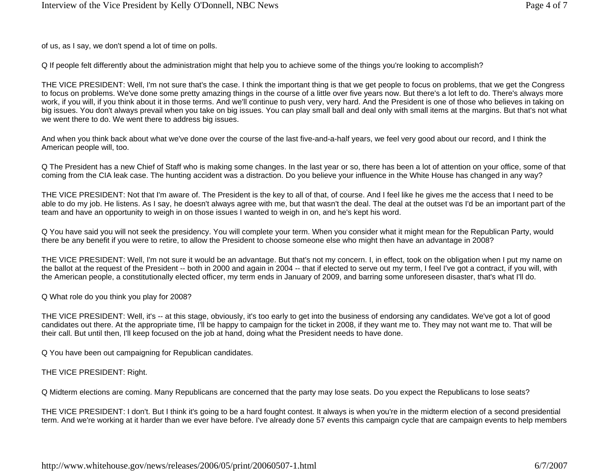of us, as I say, we don't spend a lot of time on polls.

Q If people felt differently about the administration might that help you to achieve some of the things you're looking to accomplish?

THE VICE PRESIDENT: Well, I'm not sure that's the case. I think the important thing is that we get people to focus on problems, that we get the Congress to focus on problems. We've done some pretty amazing things in the course of a little over five years now. But there's a lot left to do. There's always more work, if you will, if you think about it in those terms. And we'll continue to push very, very hard. And the President is one of those who believes in taking on big issues. You don't always prevail when you take on big issues. You can play small ball and deal only with small items at the margins. But that's not what we went there to do. We went there to address big issues.

And when you think back about what we've done over the course of the last five-and-a-half years, we feel very good about our record, and I think the American people will, too.

Q The President has a new Chief of Staff who is making some changes. In the last year or so, there has been a lot of attention on your office, some of that coming from the CIA leak case. The hunting accident was a distraction. Do you believe your influence in the White House has changed in any way?

THE VICE PRESIDENT: Not that I'm aware of. The President is the key to all of that, of course. And I feel like he gives me the access that I need to be able to do my job. He listens. As I say, he doesn't always agree with me, but that wasn't the deal. The deal at the outset was I'd be an important part of the team and have an opportunity to weigh in on those issues I wanted to weigh in on, and he's kept his word.

Q You have said you will not seek the presidency. You will complete your term. When you consider what it might mean for the Republican Party, would there be any benefit if you were to retire, to allow the President to choose someone else who might then have an advantage in 2008?

THE VICE PRESIDENT: Well, I'm not sure it would be an advantage. But that's not my concern. I, in effect, took on the obligation when I put my name on the ballot at the request of the President -- both in 2000 and again in 2004 -- that if elected to serve out my term, I feel I've got a contract, if you will, with the American people, a constitutionally elected officer, my term ends in January of 2009, and barring some unforeseen disaster, that's what I'll do.

Q What role do you think you play for 2008?

THE VICE PRESIDENT: Well, it's -- at this stage, obviously, it's too early to get into the business of endorsing any candidates. We've got a lot of good candidates out there. At the appropriate time, I'll be happy to campaign for the ticket in 2008, if they want me to. They may not want me to. That will be their call. But until then, I'll keep focused on the job at hand, doing what the President needs to have done.

Q You have been out campaigning for Republican candidates.

THE VICE PRESIDENT: Right.

Q Midterm elections are coming. Many Republicans are concerned that the party may lose seats. Do you expect the Republicans to lose seats?

THE VICE PRESIDENT: I don't. But I think it's going to be a hard fought contest. It always is when you're in the midterm election of a second presidential term. And we're working at it harder than we ever have before. I've already done 57 events this campaign cycle that are campaign events to help members

http://www.whitehouse.gov/news/releases/2006/05/print/20060507-1.html 6/7/2007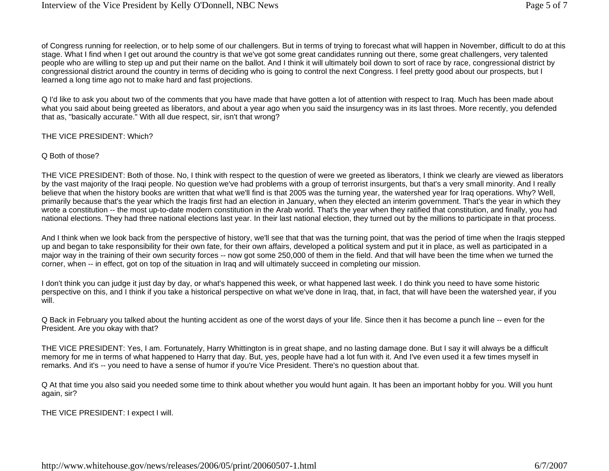of Congress running for reelection, or to help some of our challengers. But in terms of trying to forecast what will happen in November, difficult to do at this stage. What I find when I get out around the country is that we've got some great candidates running out there, some great challengers, very talented people who are willing to step up and put their name on the ballot. And I think it will ultimately boil down to sort of race by race, congressional district by congressional district around the country in terms of deciding who is going to control the next Congress. I feel pretty good about our prospects, but I learned a long time ago not to make hard and fast projections.

Q I'd like to ask you about two of the comments that you have made that have gotten a lot of attention with respect to Iraq. Much has been made about what you said about being greeted as liberators, and about a year ago when you said the insurgency was in its last throes. More recently, you defended that as, "basically accurate." With all due respect, sir, isn't that wrong?

THE VICE PRESIDENT: Which?

Q Both of those?

THE VICE PRESIDENT: Both of those. No, I think with respect to the question of were we greeted as liberators, I think we clearly are viewed as liberators by the vast majority of the Iraqi people. No question we've had problems with a group of terrorist insurgents, but that's a very small minority. And I really believe that when the history books are written that what we'll find is that 2005 was the turning year, the watershed year for Iraq operations. Why? Well, primarily because that's the year which the Iraqis first had an election in January, when they elected an interim government. That's the year in which they wrote a constitution -- the most up-to-date modern constitution in the Arab world. That's the year when they ratified that constitution, and finally, you had national elections. They had three national elections last year. In their last national election, they turned out by the millions to participate in that process.

And I think when we look back from the perspective of history, we'll see that that was the turning point, that was the period of time when the Iraqis stepped up and began to take responsibility for their own fate, for their own affairs, developed a political system and put it in place, as well as participated in a major way in the training of their own security forces -- now got some 250,000 of them in the field. And that will have been the time when we turned the corner, when -- in effect, got on top of the situation in Iraq and will ultimately succeed in completing our mission.

I don't think you can judge it just day by day, or what's happened this week, or what happened last week. I do think you need to have some historic perspective on this, and I think if you take a historical perspective on what we've done in Iraq, that, in fact, that will have been the watershed year, if you will.

Q Back in February you talked about the hunting accident as one of the worst days of your life. Since then it has become a punch line -- even for the President. Are you okay with that?

THE VICE PRESIDENT: Yes, I am. Fortunately, Harry Whittington is in great shape, and no lasting damage done. But I say it will always be a difficult memory for me in terms of what happened to Harry that day. But, yes, people have had a lot fun with it. And I've even used it a few times myself in remarks. And it's -- you need to have a sense of humor if you're Vice President. There's no question about that.

Q At that time you also said you needed some time to think about whether you would hunt again. It has been an important hobby for you. Will you hunt again, sir?

THE VICE PRESIDENT: I expect I will.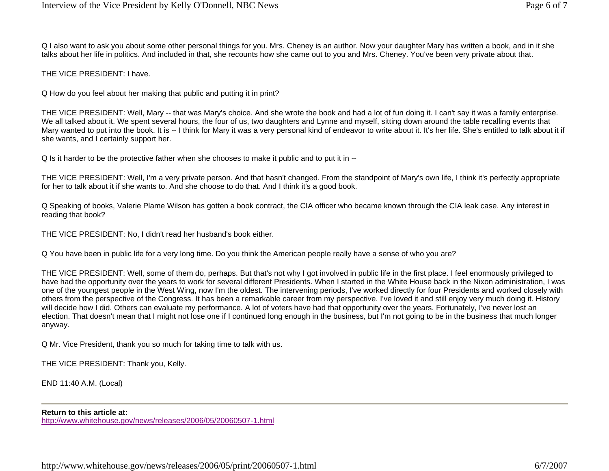Q I also want to ask you about some other personal things for you. Mrs. Cheney is an author. Now your daughter Mary has written a book, and in it she talks about her life in politics. And included in that, she recounts how she came out to you and Mrs. Cheney. You've been very private about that.

THE VICE PRESIDENT: I have.

Q How do you feel about her making that public and putting it in print?

THE VICE PRESIDENT: Well, Mary -- that was Mary's choice. And she wrote the book and had a lot of fun doing it. I can't say it was a family enterprise. We all talked about it. We spent several hours, the four of us, two daughters and Lynne and myself, sitting down around the table recalling events that Mary wanted to put into the book. It is -- I think for Mary it was a very personal kind of endeavor to write about it. It's her life. She's entitled to talk about it if she wants, and I certainly support her.

Q Is it harder to be the protective father when she chooses to make it public and to put it in --

THE VICE PRESIDENT: Well, I'm a very private person. And that hasn't changed. From the standpoint of Mary's own life, I think it's perfectly appropriate for her to talk about it if she wants to. And she choose to do that. And I think it's a good book.

Q Speaking of books, Valerie Plame Wilson has gotten a book contract, the CIA officer who became known through the CIA leak case. Any interest in reading that book?

THE VICE PRESIDENT: No, I didn't read her husband's book either.

Q You have been in public life for a very long time. Do you think the American people really have a sense of who you are?

THE VICE PRESIDENT: Well, some of them do, perhaps. But that's not why I got involved in public life in the first place. I feel enormously privileged to have had the opportunity over the years to work for several different Presidents. When I started in the White House back in the Nixon administration, I was one of the youngest people in the West Wing, now I'm the oldest. The intervening periods, I've worked directly for four Presidents and worked closely with others from the perspective of the Congress. It has been a remarkable career from my perspective. I've loved it and still enjoy very much doing it. History will decide how I did. Others can evaluate my performance. A lot of voters have had that opportunity over the years. Fortunately, I've never lost an election. That doesn't mean that I might not lose one if I continued long enough in the business, but I'm not going to be in the business that much longer anyway.

Q Mr. Vice President, thank you so much for taking time to talk with us.

THE VICE PRESIDENT: Thank you, Kelly.

END 11:40 A.M. (Local)

**Return to this article at:**

http://www.whitehouse.gov/news/releases/2006/05/20060507-1.html